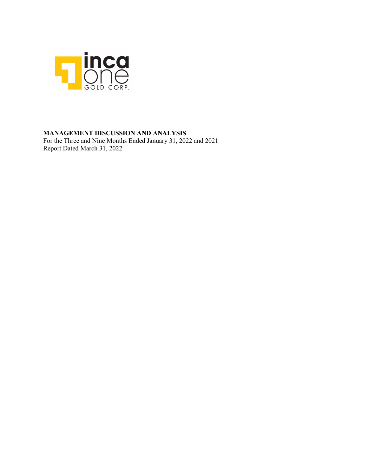

## **MANAGEMENT DISCUSSION AND ANALYSIS**

For the Three and Nine Months Ended January 31, 2022 and 2021 Report Dated March 31, 2022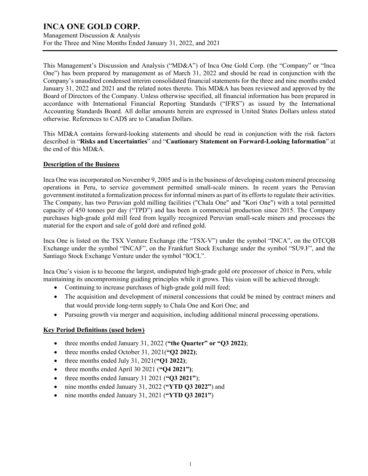Management Discussion & Analysis For the Three and Nine Months Ended January 31, 2022, and 2021

This Management's Discussion and Analysis ("MD&A") of Inca One Gold Corp. (the "Company" or "Inca One") has been prepared by management as of March 31, 2022 and should be read in conjunction with the Company's unaudited condensed interim consolidated financial statements for the three and nine months ended January 31, 2022 and 2021 and the related notes thereto. This MD&A has been reviewed and approved by the Board of Directors of the Company. Unless otherwise specified, all financial information has been prepared in accordance with International Financial Reporting Standards ("IFRS") as issued by the International Accounting Standards Board. All dollar amounts herein are expressed in United States Dollars unless stated otherwise. References to CAD\$ are to Canadian Dollars.

This MD&A contains forward-looking statements and should be read in conjunction with the risk factors described in "**Risks and Uncertainties**" and "**Cautionary Statement on Forward-Looking Information**" at the end of this MD&A.

## **Description of the Business**

Inca One was incorporated on November 9, 2005 and is in the business of developing custom mineral processing operations in Peru, to service government permitted small-scale miners. In recent years the Peruvian government instituted a formalization process for informal miners as part of its efforts to regulate their activities. The Company, has two Peruvian gold milling facilities ("Chala One" and "Kori One") with a total permitted capacity of 450 tonnes per day ("TPD") and has been in commercial production since 2015. The Company purchases high-grade gold mill feed from legally recognized Peruvian small-scale miners and processes the material for the export and sale of gold doré and refined gold.

Inca One is listed on the TSX Venture Exchange (the "TSX-V") under the symbol "INCA", on the OTCQB Exchange under the symbol "INCAF", on the Frankfurt Stock Exchange under the symbol "SU9.F", and the Santiago Stock Exchange Venture under the symbol "IOCL".

Inca One's vision is to become the largest, undisputed high-grade gold ore processor of choice in Peru, while maintaining its uncompromising guiding principles while it grows. This vision will be achieved through:

- Continuing to increase purchases of high-grade gold mill feed;
- The acquisition and development of mineral concessions that could be mined by contract miners and that would provide long-term supply to Chala One and Kori One; and
- Pursuing growth via merger and acquisition, including additional mineral processing operations.

## **Key Period Definitions (used below)**

- three months ended January 31, 2022 (**"the Quarter" or "Q3 2022)**;
- three months ended October 31, 2021(**"Q2 2022)**;
- three months ended July 31, 2021(**"Q1 2022)**;
- three months ended April 30 2021 (**"Q4 2021")**;
- three months ended January 31 2021 (**"Q3 2021"**);
- nine months ended January 31, 2022 (**"YTD Q3 2022"**) and
- nine months ended January 31, 2021 (**"YTD Q3 2021"**)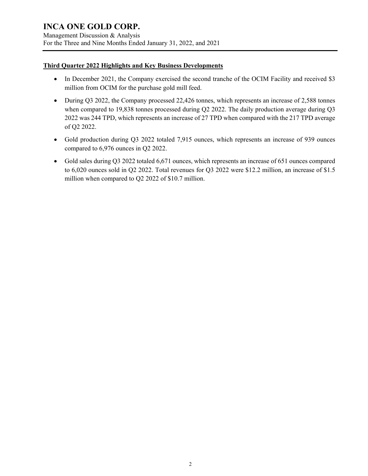Management Discussion & Analysis For the Three and Nine Months Ended January 31, 2022, and 2021

## **Third Quarter 2022 Highlights and Key Business Developments**

- In December 2021, the Company exercised the second tranche of the OCIM Facility and received \$3 million from OCIM for the purchase gold mill feed.
- During Q3 2022, the Company processed 22,426 tonnes, which represents an increase of 2,588 tonnes when compared to 19,838 tonnes processed during Q2 2022. The daily production average during Q3 2022 was 244 TPD, which represents an increase of 27 TPD when compared with the 217 TPD average of Q2 2022.
- Gold production during Q3 2022 totaled 7,915 ounces, which represents an increase of 939 ounces compared to 6,976 ounces in Q2 2022.
- Gold sales during Q3 2022 totaled 6,671 ounces, which represents an increase of 651 ounces compared to 6,020 ounces sold in Q2 2022. Total revenues for Q3 2022 were \$12.2 million, an increase of \$1.5 million when compared to Q2 2022 of \$10.7 million.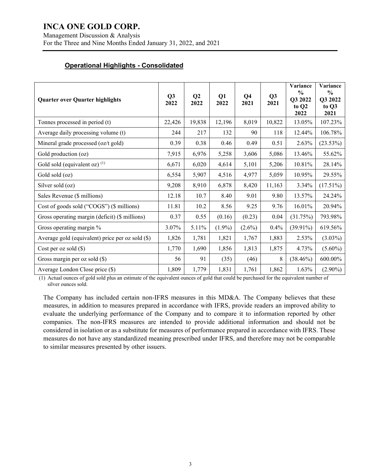Management Discussion & Analysis For the Three and Nine Months Ended January 31, 2022, and 2021

## **Operational Highlights - Consolidated**

| <b>Quarter over Quarter highlights</b>           | Q3<br>2022 | Q <sub>2</sub><br>2022 | Q1<br>2022 | Q <sub>4</sub><br>2021 | Q <sub>3</sub><br>2021 | Variance<br>$\frac{0}{0}$<br>Q3 2022<br>to Q <sub>2</sub><br>2022 | Variance<br>$\frac{0}{0}$<br>Q3 2022<br>to Q3<br>2021 |
|--------------------------------------------------|------------|------------------------|------------|------------------------|------------------------|-------------------------------------------------------------------|-------------------------------------------------------|
| Tonnes processed in period (t)                   | 22,426     | 19,838                 | 12,196     | 8,019                  | 10,822                 | 13.05%                                                            | 107.23%                                               |
| Average daily processing volume (t)              | 244        | 217                    | 132        | 90                     | 118                    | 12.44%                                                            | 106.78%                                               |
| Mineral grade processed (oz/t gold)              | 0.39       | 0.38                   | 0.46       | 0.49                   | 0.51                   | 2.63%                                                             | (23.53%)                                              |
| Gold production (oz)                             | 7,915      | 6,976                  | 5,258      | 3,606                  | 5,086                  | 13.46%                                                            | 55.62%                                                |
| Gold sold (equivalent oz) $(1)$                  | 6,671      | 6,020                  | 4,614      | 5,101                  | 5,206                  | 10.81%                                                            | 28.14%                                                |
| Gold sold (oz)                                   | 6,554      | 5,907                  | 4,516      | 4,977                  | 5,059                  | 10.95%                                                            | 29.55%                                                |
| Silver sold (oz)                                 | 9,208      | 8,910                  | 6,878      | 8,420                  | 11,163                 | 3.34%                                                             | $(17.51\%)$                                           |
| Sales Revenue (\$ millions)                      | 12.18      | 10.7                   | 8.40       | 9.01                   | 9.80                   | 13.57%                                                            | 24.24%                                                |
| Cost of goods sold ("COGS") (\$ millions)        | 11.81      | 10.2                   | 8.56       | 9.25                   | 9.76                   | 16.01%                                                            | 20.94%                                                |
| Gross operating margin (deficit) (\$ millions)   | 0.37       | 0.55                   | (0.16)     | (0.23)                 | 0.04                   | (31.75%)                                                          | 793.98%                                               |
| Gross operating margin %                         | 3.07%      | 5.11%                  | $(1.9\%)$  | $(2.6\%)$              | 0.4%                   | $(39.91\%)$                                                       | 619.56%                                               |
| Average gold (equivalent) price per oz sold (\$) | 1,826      | 1,781                  | 1,821      | 1,767                  | 1,883                  | 2.53%                                                             | $(3.03\%)$                                            |
| Cost per oz sold $(\$)$                          | 1,770      | 1,690                  | 1,856      | 1,813                  | 1,875                  | 4.73%                                                             | $(5.60\%)$                                            |
| Gross margin per oz sold $(\$)$                  | 56         | 91                     | (35)       | (46)                   | 8                      | $(38.46\%)$                                                       | 600.00%                                               |
| Average London Close price (\$)                  | 1,809      | 1,779                  | 1,831      | 1,761                  | 1,862                  | 1.63%                                                             | $(2.90\%)$                                            |

(1) Actual ounces of gold sold plus an estimate of the equivalent ounces of gold that could be purchased for the equivalent number of silver ounces sold.

The Company has included certain non-IFRS measures in this MD&A. The Company believes that these measures, in addition to measures prepared in accordance with IFRS, provide readers an improved ability to evaluate the underlying performance of the Company and to compare it to information reported by other companies. The non-IFRS measures are intended to provide additional information and should not be considered in isolation or as a substitute for measures of performance prepared in accordance with IFRS. These measures do not have any standardized meaning prescribed under IFRS, and therefore may not be comparable to similar measures presented by other issuers.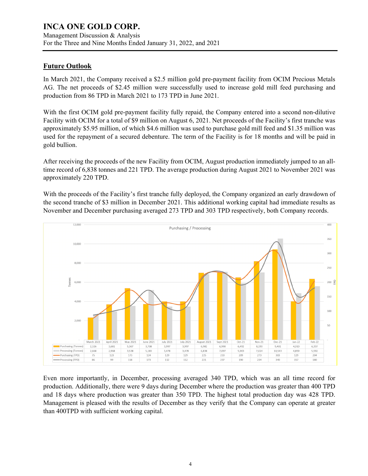Management Discussion & Analysis For the Three and Nine Months Ended January 31, 2022, and 2021

## **Future Outlook**

In March 2021, the Company received a \$2.5 million gold pre-payment facility from OCIM Precious Metals AG. The net proceeds of \$2.45 million were successfully used to increase gold mill feed purchasing and production from 86 TPD in March 2021 to 173 TPD in June 2021.

With the first OCIM gold pre-payment facility fully repaid, the Company entered into a second non-dilutive Facility with OCIM for a total of \$9 million on August 6, 2021. Net proceeds of the Facility's first tranche was approximately \$5.95 million, of which \$4.6 million was used to purchase gold mill feed and \$1.35 million was used for the repayment of a secured debenture. The term of the Facility is for 18 months and will be paid in gold bullion.

After receiving the proceeds of the new Facility from OCIM, August production immediately jumped to an alltime record of 6,838 tonnes and 221 TPD. The average production during August 2021 to November 2021 was approximately 220 TPD.

With the proceeds of the Facility's first tranche fully deployed, the Company organized an early drawdown of the second tranche of \$3 million in December 2021. This additional working capital had immediate results as November and December purchasing averaged 273 TPD and 303 TPD respectively, both Company records.



Even more importantly, in December, processing averaged 340 TPD, which was an all time record for production. Additionally, there were 9 days during December where the production was greater than 400 TPD and 18 days where production was greater than 350 TPD. The highest total production day was 428 TPD. Management is pleased with the results of December as they verify that the Company can operate at greater than 400TPD with sufficient working capital.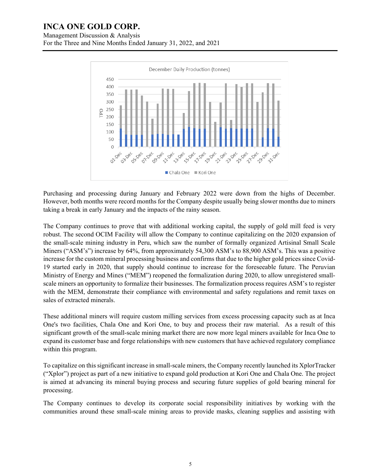Management Discussion & Analysis

For the Three and Nine Months Ended January 31, 2022, and 2021



Purchasing and processing during January and February 2022 were down from the highs of December. However, both months were record months for the Company despite usually being slower months due to miners taking a break in early January and the impacts of the rainy season.

The Company continues to prove that with additional working capital, the supply of gold mill feed is very robust. The second OCIM Facility will allow the Company to continue capitalizing on the 2020 expansion of the small-scale mining industry in Peru, which saw the number of formally organized Artisinal Small Scale Miners ("ASM's") increase by 64%, from approximately 54,300 ASM's to 88,900 ASM's. This was a positive increase for the custom mineral processing business and confirms that due to the higher gold prices since Covid-19 started early in 2020, that supply should continue to increase for the foreseeable future. The Peruvian Ministry of Energy and Mines ("MEM") reopened the formalization during 2020, to allow unregistered smallscale miners an opportunity to formalize their businesses. The formalization process requires ASM's to register with the MEM, demonstrate their compliance with environmental and safety regulations and remit taxes on sales of extracted minerals.

These additional miners will require custom milling services from excess processing capacity such as at Inca One's two facilities, Chala One and Kori One, to buy and process their raw material. As a result of this significant growth of the small-scale mining market there are now more legal miners available for Inca One to expand its customer base and forge relationships with new customers that have achieved regulatory compliance within this program.

To capitalize on this significant increase in small-scale miners, the Company recently launched its XplorTracker ("Xplor") project as part of a new initiative to expand gold production at Kori One and Chala One. The project is aimed at advancing its mineral buying process and securing future supplies of gold bearing mineral for processing.

The Company continues to develop its corporate social responsibility initiatives by working with the communities around these small-scale mining areas to provide masks, cleaning supplies and assisting with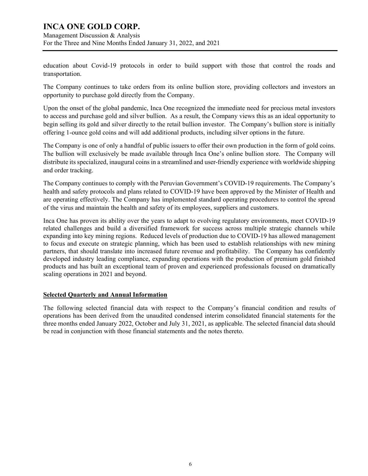Management Discussion & Analysis For the Three and Nine Months Ended January 31, 2022, and 2021

education about Covid-19 protocols in order to build support with those that control the roads and transportation.

The Company continues to take orders from its online bullion store, providing collectors and investors an opportunity to purchase gold directly from the Company.

Upon the onset of the global pandemic, Inca One recognized the immediate need for precious metal investors to access and purchase gold and silver bullion. As a result, the Company views this as an ideal opportunity to begin selling its gold and silver directly to the retail bullion investor. The Company's bullion store is initially offering 1-ounce gold coins and will add additional products, including silver options in the future.

The Company is one of only a handful of public issuers to offer their own production in the form of gold coins. The bullion will exclusively be made available through Inca One's online bullion store. The Company will distribute its specialized, inaugural coins in a streamlined and user-friendly experience with worldwide shipping and order tracking.

The Company continues to comply with the Peruvian Government's COVID-19 requirements. The Company's health and safety protocols and plans related to COVID-19 have been approved by the Minister of Health and are operating effectively. The Company has implemented standard operating procedures to control the spread of the virus and maintain the health and safety of its employees, suppliers and customers.

Inca One has proven its ability over the years to adapt to evolving regulatory environments, meet COVID-19 related challenges and build a diversified framework for success across multiple strategic channels while expanding into key mining regions. Reduced levels of production due to COVID-19 has allowed management to focus and execute on strategic planning, which has been used to establish relationships with new mining partners, that should translate into increased future revenue and profitability. The Company has confidently developed industry leading compliance, expanding operations with the production of premium gold finished products and has built an exceptional team of proven and experienced professionals focused on dramatically scaling operations in 2021 and beyond.

## **Selected Quarterly and Annual Information**

The following selected financial data with respect to the Company's financial condition and results of operations has been derived from the unaudited condensed interim consolidated financial statements for the three months ended January 2022, October and July 31, 2021, as applicable. The selected financial data should be read in conjunction with those financial statements and the notes thereto.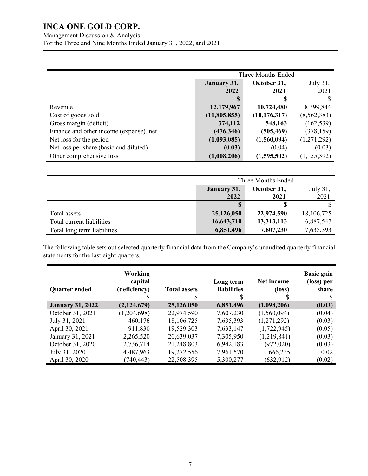Management Discussion & Analysis For the Three and Nine Months Ended January 31, 2022, and 2021

|                                         | Three Months Ended |                |             |  |
|-----------------------------------------|--------------------|----------------|-------------|--|
|                                         | January 31,        | October 31,    | July 31,    |  |
|                                         | 2022               | 2021           | 2021        |  |
|                                         |                    | S              |             |  |
| Revenue                                 | 12,179,967         | 10,724,480     | 8,399,844   |  |
| Cost of goods sold                      | (11,805,855)       | (10, 176, 317) | (8,562,383) |  |
| Gross margin (deficit)                  | 374,112            | 548,163        | (162, 539)  |  |
| Finance and other income (expense), net | (476, 346)         | (505, 469)     | (378, 159)  |  |
| Net loss for the period                 | (1,093,085)        | (1,560,094)    | (1,271,292) |  |
| Net loss per share (basic and diluted)  | (0.03)             | (0.04)         | (0.03)      |  |
| Other comprehensive loss                | (1,008,206)        | (1,595,502)    | (1,155,392) |  |

|                             | Three Months Ended                     |            |            |  |
|-----------------------------|----------------------------------------|------------|------------|--|
|                             | July 31,<br>October 31,<br>January 31, |            |            |  |
|                             | 2022<br>2021                           |            |            |  |
|                             | S                                      |            |            |  |
| Total assets                | 25,126,050                             | 22,974,590 | 18,106,725 |  |
| Total current liabilities   | 16,643,710                             | 13,313,113 | 6,887,547  |  |
| Total long term liabilities | 6,851,496                              | 7,607,230  | 7,635,393  |  |

The following table sets out selected quarterly financial data from the Company's unaudited quarterly financial statements for the last eight quarters.

| <b>Quarter ended</b>    | <b>Working</b><br>capital<br>(deficiency) | <b>Total assets</b> | Long term<br><b>liabilities</b> | Net income<br>$(\text{loss})$ | <b>Basic gain</b><br>(loss) per<br>share |
|-------------------------|-------------------------------------------|---------------------|---------------------------------|-------------------------------|------------------------------------------|
|                         |                                           |                     | S                               |                               | S                                        |
| <b>January 31, 2022</b> | (2,124,679)                               | 25,126,050          | 6,851,496                       | (1,098,206)                   | (0.03)                                   |
| October 31, 2021        | (1,204,698)                               | 22,974,590          | 7,607,230                       | (1,560,094)                   | (0.04)                                   |
| July 31, 2021           | 460,176                                   | 18,106,725          | 7,635,393                       | (1,271,292)                   | (0.03)                                   |
| April 30, 2021          | 911,830                                   | 19,529,303          | 7,633,147                       | (1,722,945)                   | (0.05)                                   |
| January 31, 2021        | 2,265,520                                 | 20,639,037          | 7,305,950                       | (1,219,841)                   | (0.03)                                   |
| October 31, 2020        | 2,736,714                                 | 21,248,803          | 6,942,183                       | (972,020)                     | (0.03)                                   |
| July 31, 2020           | 4,487,963                                 | 19,272,556          | 7,961,570                       | 666,235                       | 0.02                                     |
| April 30, 2020          | (740, 443)                                | 22,508,395          | 5,300,277                       | (632, 912)                    | (0.02)                                   |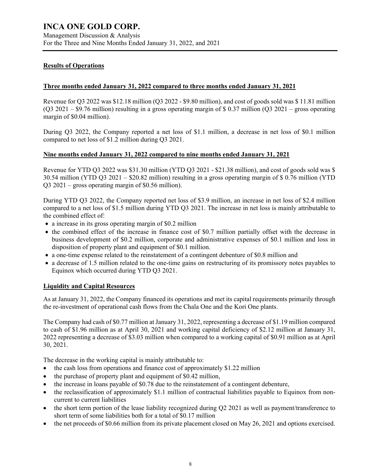For the Three and Nine Months Ended January 31, 2022, and 2021

## **Results of Operations**

## **Three months ended January 31, 2022 compared to three months ended January 31, 2021**

Revenue for Q3 2022 was \$12.18 million (Q3 2022 - \$9.80 million), and cost of goods sold was \$ 11.81 million (Q3 2021 – \$9.76 million) resulting in a gross operating margin of \$ 0.37 million (Q3 2021 – gross operating margin of \$0.04 million).

During Q3 2022, the Company reported a net loss of \$1.1 million, a decrease in net loss of \$0.1 million compared to net loss of \$1.2 million during Q3 2021.

## **Nine months ended January 31, 2022 compared to nine months ended January 31, 2021**

Revenue for YTD Q3 2022 was \$31.30 million (YTD Q3 2021 - \$21.38 million), and cost of goods sold was \$ 30.54 million (YTD Q3 2021 – \$20.82 million) resulting in a gross operating margin of \$ 0.76 million (YTD Q3 2021 – gross operating margin of \$0.56 million).

During YTD Q3 2022, the Company reported net loss of \$3.9 million, an increase in net loss of \$2.4 million compared to a net loss of \$1.5 million during YTD Q3 2021. The increase in net loss is mainly attributable to the combined effect of:

- a increase in its gross operating margin of \$0.2 million
- the combined effect of the increase in finance cost of \$0.7 million partially offset with the decrease in business development of \$0.2 million, corporate and administrative expenses of \$0.1 million and loss in disposition of property plant and equipment of \$0.1 million.
- a one-time expense related to the reinstatement of a contingent debenture of \$0.8 million and
- a decrease of 1.5 million related to the one-time gains on restructuring of its promissory notes payables to Equinox which occurred during YTD Q3 2021.

## **Liquidity and Capital Resources**

As at January 31, 2022, the Company financed its operations and met its capital requirements primarily through the re-investment of operational cash flows from the Chala One and the Kori One plants.

The Company had cash of \$0.77 million at January 31, 2022, representing a decrease of \$1.19 million compared to cash of \$1.96 million as at April 30, 2021 and working capital deficiency of \$2.12 million at January 31, 2022 representing a decrease of \$3.03 million when compared to a working capital of \$0.91 million as at April 30, 2021.

The decrease in the working capital is mainly attributable to:

- the cash loss from operations and finance cost of approximately \$1.22 million
- the purchase of property plant and equipment of \$0.42 million,
- the increase in loans payable of \$0.78 due to the reinstatement of a contingent debenture,
- the reclassification of approximately \$1.1 million of contractual liabilities payable to Equinox from noncurrent to current liabilities
- the short term portion of the lease liability recognized during Q2 2021 as well as payment/transference to short term of some liabilities both for a total of \$0.17 million
- the net proceeds of \$0.66 million from its private placement closed on May 26, 2021 and options exercised.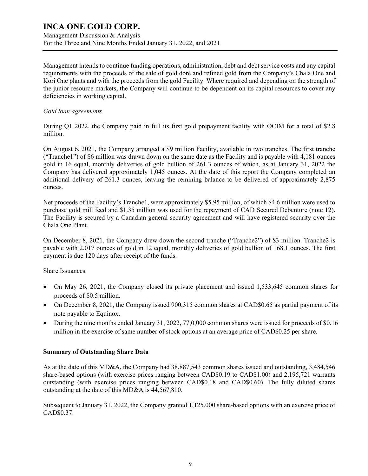Management Discussion & Analysis For the Three and Nine Months Ended January 31, 2022, and 2021

Management intends to continue funding operations, administration, debt and debt service costs and any capital requirements with the proceeds of the sale of gold doré and refined gold from the Company's Chala One and Kori One plants and with the proceeds from the gold Facility. Where required and depending on the strength of the junior resource markets, the Company will continue to be dependent on its capital resources to cover any deficiencies in working capital.

## *Gold loan agreements*

During Q1 2022, the Company paid in full its first gold prepayment facility with OCIM for a total of \$2.8 million.

On August 6, 2021, the Company arranged a \$9 million Facility, available in two tranches. The first tranche ("Tranche1") of \$6 million was drawn down on the same date as the Facility and is payable with 4,181 ounces gold in 16 equal, monthly deliveries of gold bullion of 261.3 ounces of which, as at January 31, 2022 the Company has delivered approximately 1,045 ounces. At the date of this report the Company completed an additional delivery of 261.3 ounces, leaving the remining balance to be delivered of approximately 2,875 ounces.

Net proceeds of the Facility's Tranche1, were approximately \$5.95 million, of which \$4.6 million were used to purchase gold mill feed and \$1.35 million was used for the repayment of CAD Secured Debenture (note 12). The Facility is secured by a Canadian general security agreement and will have registered security over the Chala One Plant.

On December 8, 2021, the Company drew down the second tranche ("Tranche2") of \$3 million. Tranche2 is payable with 2,017 ounces of gold in 12 equal, monthly deliveries of gold bullion of 168.1 ounces. The first payment is due 120 days after receipt of the funds.

## Share Issuances

- On May 26, 2021, the Company closed its private placement and issued 1,533,645 common shares for proceeds of \$0.5 million.
- On December 8, 2021, the Company issued 900,315 common shares at CAD\$0.65 as partial payment of its note payable to Equinox.
- During the nine months ended January 31, 2022, 77,0,000 common shares were issued for proceeds of \$0.16 million in the exercise of same number of stock options at an average price of CAD\$0.25 per share.

## **Summary of Outstanding Share Data**

As at the date of this MD&A, the Company had 38,887,543 common shares issued and outstanding, 3,484,546 share-based options (with exercise prices ranging between CAD\$0.19 to CAD\$1.00) and 2,195,721 warrants outstanding (with exercise prices ranging between CAD\$0.18 and CAD\$0.60). The fully diluted shares outstanding at the date of this MD&A is 44,567,810.

Subsequent to January 31, 2022, the Company granted 1,125,000 share-based options with an exercise price of CAD\$0.37.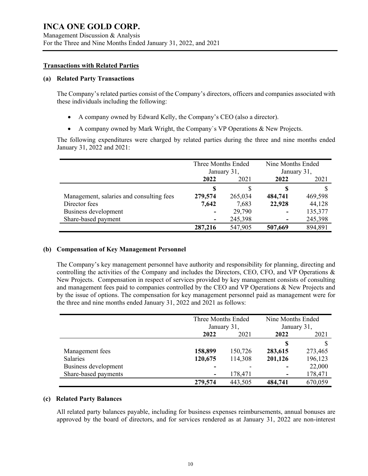#### **Transactions with Related Parties**

#### **(a) Related Party Transactions**

The Company's related parties consist of the Company's directors, officers and companies associated with these individuals including the following:

- A company owned by Edward Kelly, the Company's CEO (also a director).
- A company owned by Mark Wright, the Company`s VP Operations & New Projects.

The following expenditures were charged by related parties during the three and nine months ended January 31, 2022 and 2021:

|                                          | Three Months Ended<br>January 31, |         | Nine Months Ended<br>January 31, |         |
|------------------------------------------|-----------------------------------|---------|----------------------------------|---------|
|                                          | 2022<br>2021                      |         | 2022                             | 2021    |
|                                          | S                                 | S       |                                  |         |
| Management, salaries and consulting fees | 279,574                           | 265,034 | 484,741                          | 469,598 |
| Director fees                            | 7,642                             | 7,683   | 22,928                           | 44,128  |
| Business development                     |                                   | 29,790  | $\blacksquare$                   | 135,377 |
| Share-based payment                      |                                   | 245,398 | ۰                                | 245,398 |
|                                          | 287,216                           | 547,905 | 507,669                          | 894.891 |

## **(b) Compensation of Key Management Personnel**

The Company's key management personnel have authority and responsibility for planning, directing and controlling the activities of the Company and includes the Directors, CEO, CFO, and VP Operations & New Projects. Compensation in respect of services provided by key management consists of consulting and management fees paid to companies controlled by the CEO and VP Operations & New Projects and by the issue of options. The compensation for key management personnel paid as management were for the three and nine months ended January 31, 2022 and 2021 as follows:

|                      | Three Months Ended<br>January 31, |         | Nine Months Ended<br>January 31, |         |
|----------------------|-----------------------------------|---------|----------------------------------|---------|
|                      | 2022                              | 2021    |                                  | 2021    |
|                      |                                   |         |                                  |         |
| Management fees      | 158,899                           | 150,726 | 283,615                          | 273,465 |
| <b>Salaries</b>      | 120,675                           | 114,308 | 201,126                          | 196,123 |
| Business development | -                                 |         |                                  | 22,000  |
| Share-based payments | ۰                                 | 178,471 |                                  | 178,471 |
|                      | 279,574                           | 443,505 | 484,741                          | 670,059 |

#### **(c) Related Party Balances**

All related party balances payable, including for business expenses reimbursements, annual bonuses are approved by the board of directors, and for services rendered as at January 31, 2022 are non-interest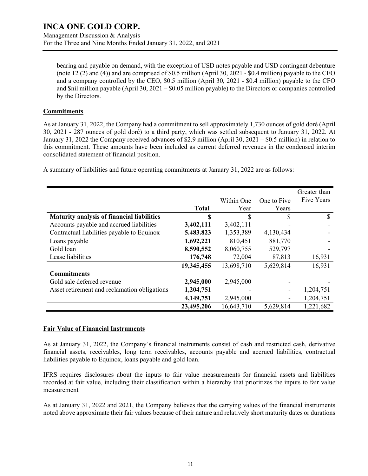Management Discussion & Analysis For the Three and Nine Months Ended January 31, 2022, and 2021

bearing and payable on demand, with the exception of USD notes payable and USD contingent debenture (note 12 (2) and (4)) and are comprised of \$0.5 million (April 30, 2021 - \$0.4 million) payable to the CEO and a company controlled by the CEO, \$0.5 million (April 30, 2021 - \$0.4 million) payable to the CFO and \$nil million payable (April 30,  $2021 - $0.05$  million payable) to the Directors or companies controlled by the Directors.

## **Commitments**

As at January 31, 2022, the Company had a commitment to sell approximately 1,730 ounces of gold doré (April 30, 2021 - 287 ounces of gold doré) to a third party, which was settled subsequent to January 31, 2022. At January 31, 2022 the Company received advances of \$2.9 million (April 30, 2021 – \$0.5 million) in relation to this commitment. These amounts have been included as current deferred revenues in the condensed interim consolidated statement of financial position.

A summary of liabilities and future operating commitments at January 31, 2022 are as follows:

|                                                   |              |            |             | Greater than |
|---------------------------------------------------|--------------|------------|-------------|--------------|
|                                                   |              | Within One | One to Five | Five Years   |
|                                                   | <b>Total</b> | Year       | Years       |              |
| <b>Maturity analysis of financial liabilities</b> | \$           | \$         | \$          | S            |
| Accounts payable and accrued liabilities          | 3,402,111    | 3,402,111  |             |              |
| Contractual liabilities payable to Equinox        | 5.483.823    | 1,353,389  | 4,130,434   |              |
| Loans payable                                     | 1,692,221    | 810,451    | 881,770     |              |
| Gold loan                                         | 8,590,552    | 8,060,755  | 529,797     |              |
| Lease liabilities                                 | 176,748      | 72,004     | 87,813      | 16,931       |
|                                                   | 19,345,455   | 13,698,710 | 5,629,814   | 16,931       |
| <b>Commitments</b>                                |              |            |             |              |
| Gold sale deferred revenue                        | 2,945,000    | 2,945,000  |             |              |
| Asset retirement and reclamation obligations      | 1,204,751    |            |             | 1,204,751    |
|                                                   | 4,149,751    | 2,945,000  |             | 1,204,751    |
|                                                   | 23,495,206   | 16,643,710 | 5,629,814   | 1,221,682    |

## **Fair Value of Financial Instruments**

As at January 31, 2022, the Company's financial instruments consist of cash and restricted cash, derivative financial assets, receivables, long term receivables, accounts payable and accrued liabilities, contractual liabilities payable to Equinox, loans payable and gold loan.

IFRS requires disclosures about the inputs to fair value measurements for financial assets and liabilities recorded at fair value, including their classification within a hierarchy that prioritizes the inputs to fair value measurement

As at January 31, 2022 and 2021, the Company believes that the carrying values of the financial instruments noted above approximate their fair values because of their nature and relatively short maturity dates or durations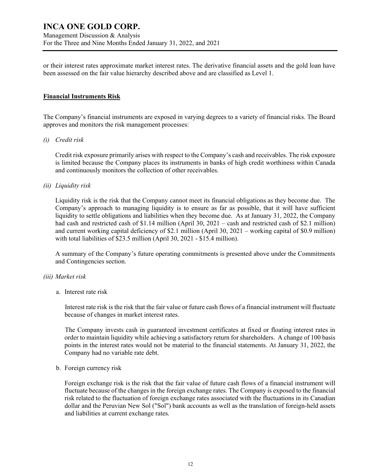or their interest rates approximate market interest rates. The derivative financial assets and the gold loan have been assessed on the fair value hierarchy described above and are classified as Level 1.

## **Financial Instruments Risk**

The Company's financial instruments are exposed in varying degrees to a variety of financial risks. The Board approves and monitors the risk management processes:

## *(i) Credit risk*

Credit risk exposure primarily arises with respect to the Company's cash and receivables. The risk exposure is limited because the Company places its instruments in banks of high credit worthiness within Canada and continuously monitors the collection of other receivables.

#### *(ii) Liquidity risk*

Liquidity risk is the risk that the Company cannot meet its financial obligations as they become due. The Company's approach to managing liquidity is to ensure as far as possible, that it will have sufficient liquidity to settle obligations and liabilities when they become due. As at January 31, 2022, the Company had cash and restricted cash of \$1.14 million (April 30, 2021 – cash and restricted cash of \$2.1 million) and current working capital deficiency of \$2.1 million (April 30, 2021 – working capital of \$0.9 million) with total liabilities of \$23.5 million (April 30, 2021 - \$15.4 million).

A summary of the Company's future operating commitments is presented above under the Commitments and Contingencies section.

#### *(iii) Market risk*

a. Interest rate risk

Interest rate risk is the risk that the fair value or future cash flows of a financial instrument will fluctuate because of changes in market interest rates.

The Company invests cash in guaranteed investment certificates at fixed or floating interest rates in order to maintain liquidity while achieving a satisfactory return for shareholders. A change of 100 basis points in the interest rates would not be material to the financial statements. At January 31, 2022, the Company had no variable rate debt.

#### b. Foreign currency risk

Foreign exchange risk is the risk that the fair value of future cash flows of a financial instrument will fluctuate because of the changes in the foreign exchange rates. The Company is exposed to the financial risk related to the fluctuation of foreign exchange rates associated with the fluctuations in its Canadian dollar and the Peruvian New Sol ("Sol") bank accounts as well as the translation of foreign-held assets and liabilities at current exchange rates.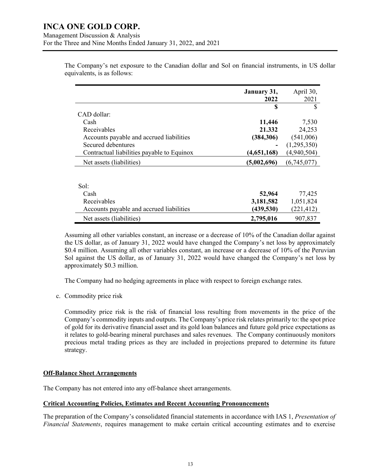The Company's net exposure to the Canadian dollar and Sol on financial instruments, in US dollar equivalents, is as follows:

|                                            | January 31,<br>2022 | April 30,<br>2021 |
|--------------------------------------------|---------------------|-------------------|
|                                            | \$                  | \$                |
| CAD dollar:                                |                     |                   |
| Cash                                       | 11,446              | 7,530             |
| Receivables                                | 21.332              | 24,253            |
| Accounts payable and accrued liabilities   | (384, 306)          | (541,006)         |
| Secured debentures                         |                     | (1,295,350)       |
| Contractual liabilities payable to Equinox | (4,651,168)         | (4,940,504)       |
| Net assets (liabilities)                   | (5,002,696)         | (6,745,077)       |
|                                            |                     |                   |
| Sol:                                       |                     |                   |
| Cash                                       | 52,964              | 77,425            |
| Receivables                                | 3,181,582           | 1,051,824         |
| Accounts payable and accrued liabilities   | (439, 530)          | (221, 412)        |
| Net assets (liabilities)                   | 2,795,016           | 907,837           |

Assuming all other variables constant, an increase or a decrease of 10% of the Canadian dollar against the US dollar, as of January 31, 2022 would have changed the Company's net loss by approximately \$0.4 million. Assuming all other variables constant, an increase or a decrease of 10% of the Peruvian Sol against the US dollar, as of January 31, 2022 would have changed the Company's net loss by approximately \$0.3 million.

The Company had no hedging agreements in place with respect to foreign exchange rates.

c. Commodity price risk

Commodity price risk is the risk of financial loss resulting from movements in the price of the Company's commodity inputs and outputs. The Company's price risk relates primarily to: the spot price of gold for its derivative financial asset and its gold loan balances and future gold price expectations as it relates to gold-bearing mineral purchases and sales revenues. The Company continuously monitors precious metal trading prices as they are included in projections prepared to determine its future strategy.

## **Off-Balance Sheet Arrangements**

The Company has not entered into any off-balance sheet arrangements.

## **Critical Accounting Policies, Estimates and Recent Accounting Pronouncements**

The preparation of the Company's consolidated financial statements in accordance with IAS 1, *Presentation of Financial Statements*, requires management to make certain critical accounting estimates and to exercise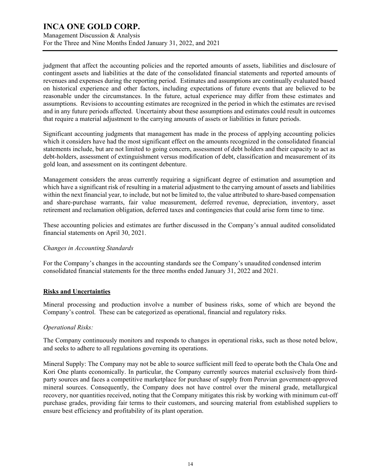Management Discussion & Analysis For the Three and Nine Months Ended January 31, 2022, and 2021

judgment that affect the accounting policies and the reported amounts of assets, liabilities and disclosure of contingent assets and liabilities at the date of the consolidated financial statements and reported amounts of revenues and expenses during the reporting period. Estimates and assumptions are continually evaluated based on historical experience and other factors, including expectations of future events that are believed to be reasonable under the circumstances. In the future, actual experience may differ from these estimates and assumptions. Revisions to accounting estimates are recognized in the period in which the estimates are revised and in any future periods affected. Uncertainty about these assumptions and estimates could result in outcomes that require a material adjustment to the carrying amounts of assets or liabilities in future periods.

Significant accounting judgments that management has made in the process of applying accounting policies which it considers have had the most significant effect on the amounts recognized in the consolidated financial statements include, but are not limited to going concern, assessment of debt holders and their capacity to act as debt-holders, assessment of extinguishment versus modification of debt, classification and measurement of its gold loan, and assessment on its contingent debenture.

Management considers the areas currently requiring a significant degree of estimation and assumption and which have a significant risk of resulting in a material adjustment to the carrying amount of assets and liabilities within the next financial year, to include, but not be limited to, the value attributed to share-based compensation and share-purchase warrants, fair value measurement, deferred revenue, depreciation, inventory, asset retirement and reclamation obligation, deferred taxes and contingencies that could arise form time to time.

These accounting policies and estimates are further discussed in the Company's annual audited consolidated financial statements on April 30, 2021.

## *Changes in Accounting Standards*

For the Company's changes in the accounting standards see the Company's unaudited condensed interim consolidated financial statements for the three months ended January 31, 2022 and 2021.

## **Risks and Uncertainties**

Mineral processing and production involve a number of business risks, some of which are beyond the Company's control. These can be categorized as operational, financial and regulatory risks.

## *Operational Risks:*

The Company continuously monitors and responds to changes in operational risks, such as those noted below, and seeks to adhere to all regulations governing its operations.

Mineral Supply: The Company may not be able to source sufficient mill feed to operate both the Chala One and Kori One plants economically. In particular, the Company currently sources material exclusively from thirdparty sources and faces a competitive marketplace for purchase of supply from Peruvian government-approved mineral sources. Consequently, the Company does not have control over the mineral grade, metallurgical recovery, nor quantities received, noting that the Company mitigates this risk by working with minimum cut-off purchase grades, providing fair terms to their customers, and sourcing material from established suppliers to ensure best efficiency and profitability of its plant operation.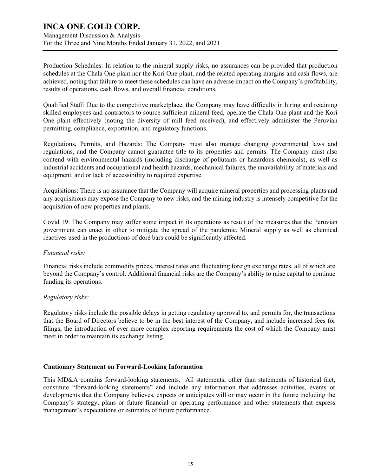Management Discussion & Analysis For the Three and Nine Months Ended January 31, 2022, and 2021

Production Schedules: In relation to the mineral supply risks, no assurances can be provided that production schedules at the Chala One plant nor the Kori One plant, and the related operating margins and cash flows, are achieved, noting that failure to meet these schedules can have an adverse impact on the Company's profitability, results of operations, cash flows, and overall financial conditions.

Qualified Staff: Due to the competitive marketplace, the Company may have difficulty in hiring and retaining skilled employees and contractors to source sufficient mineral feed, operate the Chala One plant and the Kori One plant effectively (noting the diversity of mill feed received), and effectively administer the Peruvian permitting, compliance, exportation, and regulatory functions.

Regulations, Permits, and Hazards: The Company must also manage changing governmental laws and regulations, and the Company cannot guarantee title to its properties and permits. The Company must also contend with environmental hazards (including discharge of pollutants or hazardous chemicals), as well as industrial accidents and occupational and health hazards, mechanical failures, the unavailability of materials and equipment, and or lack of accessibility to required expertise.

Acquisitions: There is no assurance that the Company will acquire mineral properties and processing plants and any acquisitions may expose the Company to new risks, and the mining industry is intensely competitive for the acquisition of new properties and plants.

Covid 19: The Company may suffer some impact in its operations as result of the measures that the Peruvian government can enact in other to mitigate the spread of the pandemic. Mineral supply as well as chemical reactives used in the productions of doré bars could be significantly affected.

## *Financial risks:*

Financial risks include commodity prices, interest rates and fluctuating foreign exchange rates, all of which are beyond the Company's control. Additional financial risks are the Company's ability to raise capital to continue funding its operations.

## *Regulatory risks:*

Regulatory risks include the possible delays in getting regulatory approval to, and permits for, the transactions that the Board of Directors believe to be in the best interest of the Company, and include increased fees for filings, the introduction of ever more complex reporting requirements the cost of which the Company must meet in order to maintain its exchange listing.

## **Cautionary Statement on Forward-Looking Information**

This MD&A contains forward-looking statements. All statements, other than statements of historical fact, constitute "forward-looking statements" and include any information that addresses activities, events or developments that the Company believes, expects or anticipates will or may occur in the future including the Company's strategy, plans or future financial or operating performance and other statements that express management's expectations or estimates of future performance.